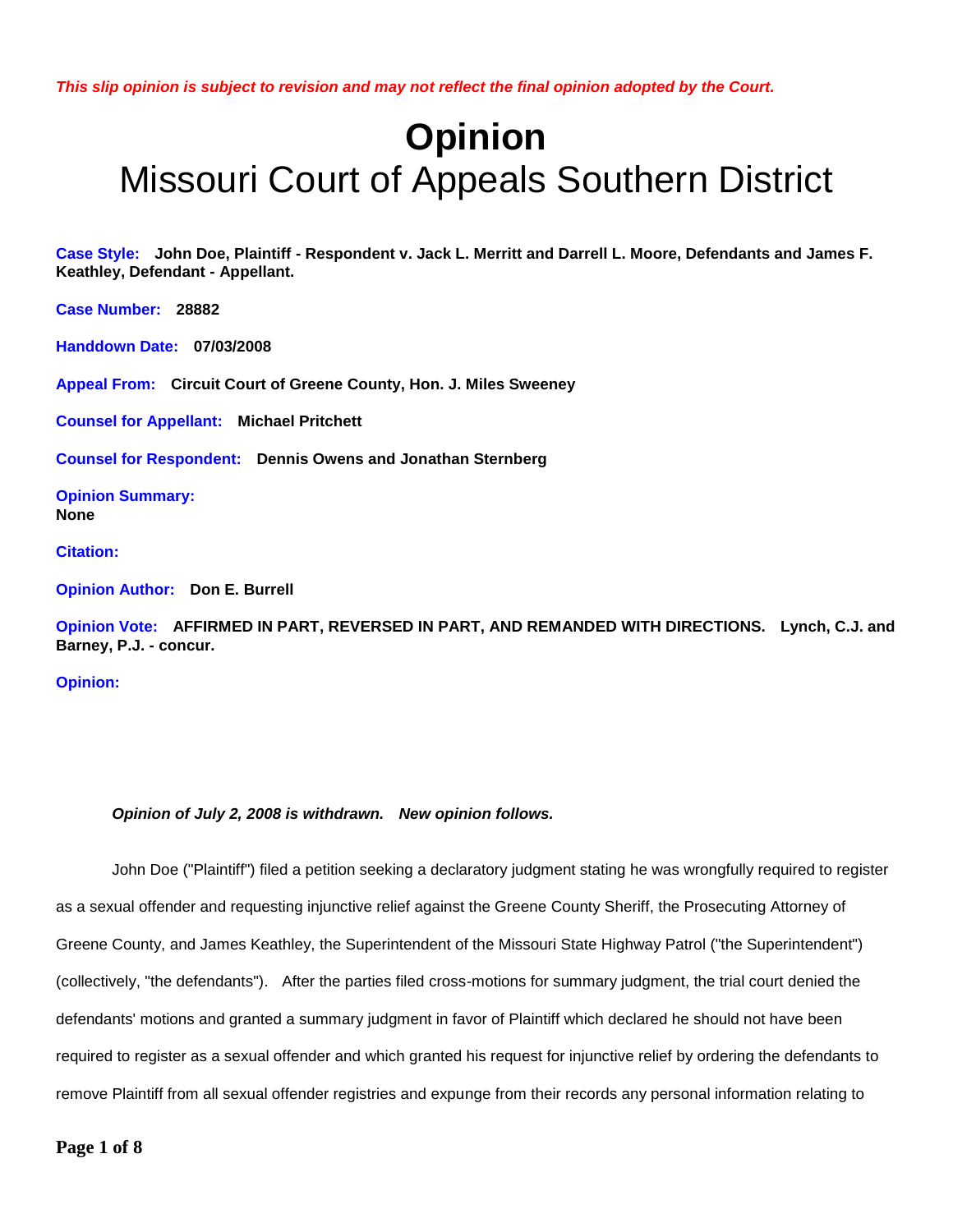*This slip opinion is subject to revision and may not reflect the final opinion adopted by the Court.*

# **Opinion** Missouri Court of Appeals Southern District

**Case Style: John Doe, Plaintiff - Respondent v. Jack L. Merritt and Darrell L. Moore, Defendants and James F. Keathley, Defendant - Appellant.** 

**Case Number: 28882**

**Handdown Date: 07/03/2008**

**Appeal From: Circuit Court of Greene County, Hon. J. Miles Sweeney**

**Counsel for Appellant: Michael Pritchett**

**Counsel for Respondent: Dennis Owens and Jonathan Sternberg**

**Opinion Summary: None**

**Citation:** 

**Opinion Author: Don E. Burrell**

**Opinion Vote: AFFIRMED IN PART, REVERSED IN PART, AND REMANDED WITH DIRECTIONS. Lynch, C.J. and Barney, P.J. - concur.**

**Opinion:**

#### *Opinion of July 2, 2008 is withdrawn. New opinion follows.*

John Doe ("Plaintiff") filed a petition seeking a declaratory judgment stating he was wrongfully required to register as a sexual offender and requesting injunctive relief against the Greene County Sheriff, the Prosecuting Attorney of Greene County, and James Keathley, the Superintendent of the Missouri State Highway Patrol ("the Superintendent") (collectively, "the defendants"). After the parties filed cross-motions for summary judgment, the trial court denied the defendants' motions and granted a summary judgment in favor of Plaintiff which declared he should not have been required to register as a sexual offender and which granted his request for injunctive relief by ordering the defendants to remove Plaintiff from all sexual offender registries and expunge from their records any personal information relating to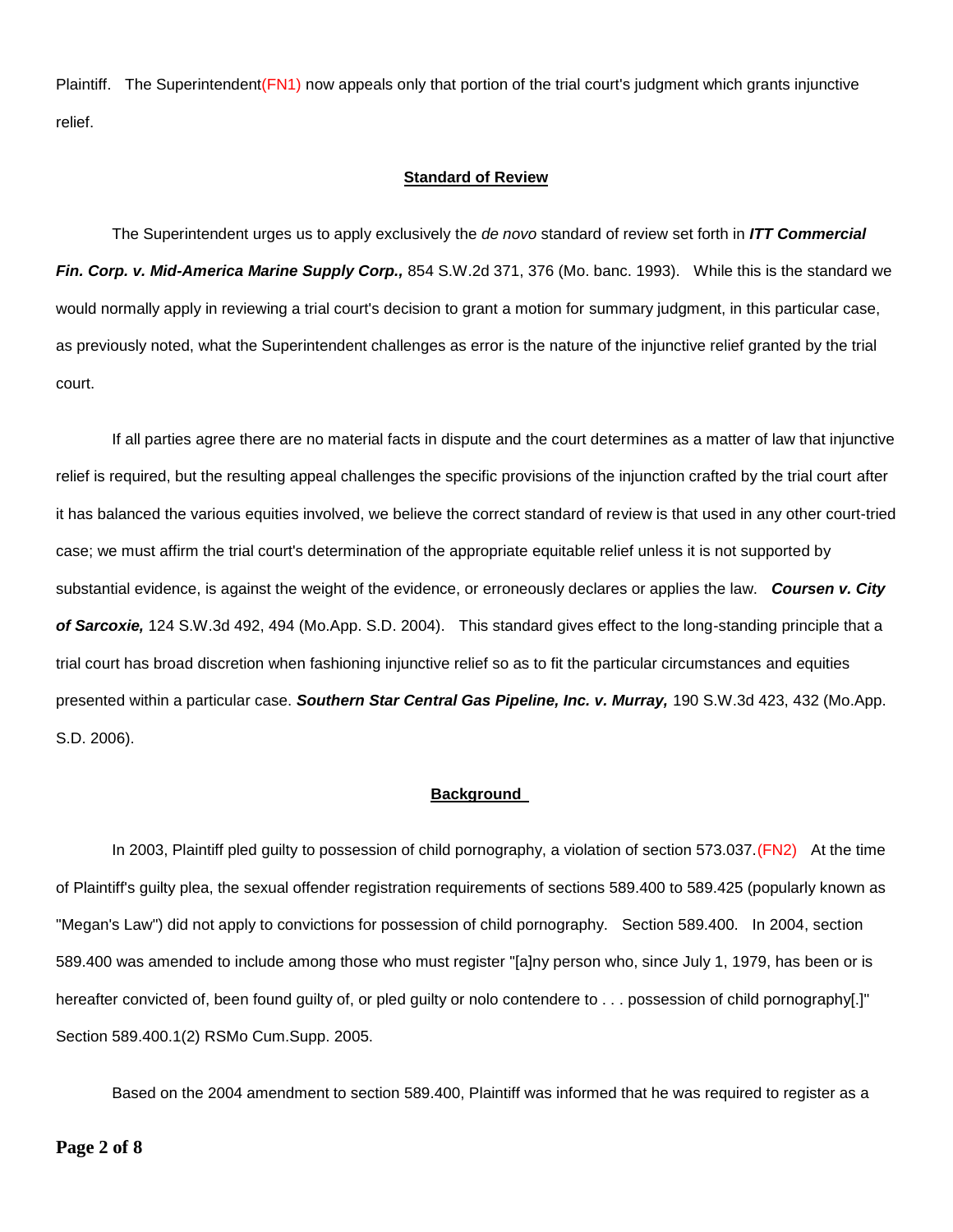Plaintiff. The Superintendent(FN1) now appeals only that portion of the trial court's judgment which grants injunctive relief.

### **Standard of Review**

The Superintendent urges us to apply exclusively the *de novo* standard of review set forth in *ITT Commercial Fin. Corp. v. Mid-America Marine Supply Corp.,* 854 S.W.2d 371, 376 (Mo. banc. 1993). While this is the standard we would normally apply in reviewing a trial court's decision to grant a motion for summary judgment, in this particular case, as previously noted, what the Superintendent challenges as error is the nature of the injunctive relief granted by the trial court.

If all parties agree there are no material facts in dispute and the court determines as a matter of law that injunctive relief is required, but the resulting appeal challenges the specific provisions of the injunction crafted by the trial court after it has balanced the various equities involved, we believe the correct standard of review is that used in any other court-tried case; we must affirm the trial court's determination of the appropriate equitable relief unless it is not supported by substantial evidence, is against the weight of the evidence, or erroneously declares or applies the law. *Coursen v. City of Sarcoxie,* 124 S.W.3d 492, 494 (Mo.App. S.D. 2004). This standard gives effect to the long-standing principle that a trial court has broad discretion when fashioning injunctive relief so as to fit the particular circumstances and equities presented within a particular case. *Southern Star Central Gas Pipeline, Inc. v. Murray,* 190 S.W.3d 423, 432 (Mo.App. S.D. 2006).

#### **Background**

In 2003, Plaintiff pled guilty to possession of child pornography, a violation of section 573.037.(FN2) At the time of Plaintiff's guilty plea, the sexual offender registration requirements of sections 589.400 to 589.425 (popularly known as "Megan's Law") did not apply to convictions for possession of child pornography. Section 589.400. In 2004, section 589.400 was amended to include among those who must register "[a]ny person who, since July 1, 1979, has been or is hereafter convicted of, been found guilty of, or pled guilty or nolo contendere to . . . possession of child pornography[.]" Section 589.400.1(2) RSMo Cum.Supp. 2005.

Based on the 2004 amendment to section 589.400, Plaintiff was informed that he was required to register as a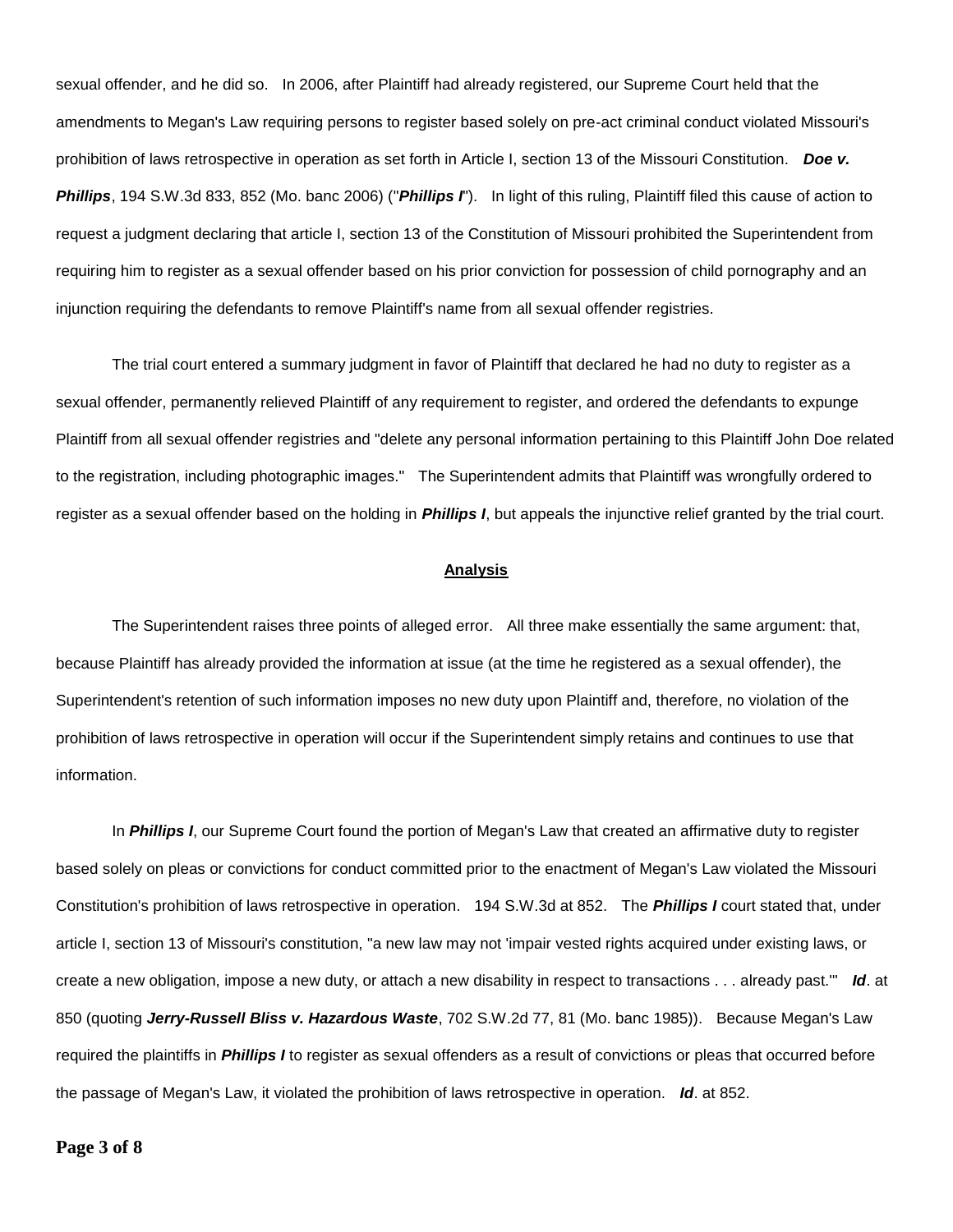sexual offender, and he did so. In 2006, after Plaintiff had already registered, our Supreme Court held that the amendments to Megan's Law requiring persons to register based solely on pre-act criminal conduct violated Missouri's prohibition of laws retrospective in operation as set forth in Article I, section 13 of the Missouri Constitution. *Doe v. Phillips*, 194 S.W.3d 833, 852 (Mo. banc 2006) ("*Phillips I*"). In light of this ruling, Plaintiff filed this cause of action to request a judgment declaring that article I, section 13 of the Constitution of Missouri prohibited the Superintendent from requiring him to register as a sexual offender based on his prior conviction for possession of child pornography and an injunction requiring the defendants to remove Plaintiff's name from all sexual offender registries.

The trial court entered a summary judgment in favor of Plaintiff that declared he had no duty to register as a sexual offender, permanently relieved Plaintiff of any requirement to register, and ordered the defendants to expunge Plaintiff from all sexual offender registries and "delete any personal information pertaining to this Plaintiff John Doe related to the registration, including photographic images." The Superintendent admits that Plaintiff was wrongfully ordered to register as a sexual offender based on the holding in *Phillips I*, but appeals the injunctive relief granted by the trial court.

## **Analysis**

The Superintendent raises three points of alleged error. All three make essentially the same argument: that, because Plaintiff has already provided the information at issue (at the time he registered as a sexual offender), the Superintendent's retention of such information imposes no new duty upon Plaintiff and, therefore, no violation of the prohibition of laws retrospective in operation will occur if the Superintendent simply retains and continues to use that information.

In *Phillips I*, our Supreme Court found the portion of Megan's Law that created an affirmative duty to register based solely on pleas or convictions for conduct committed prior to the enactment of Megan's Law violated the Missouri Constitution's prohibition of laws retrospective in operation. 194 S.W.3d at 852. The *Phillips I* court stated that, under article I, section 13 of Missouri's constitution, "a new law may not 'impair vested rights acquired under existing laws, or create a new obligation, impose a new duty, or attach a new disability in respect to transactions . . . already past.'" *Id*. at 850 (quoting *Jerry-Russell Bliss v. Hazardous Waste*, 702 S.W.2d 77, 81 (Mo. banc 1985)). Because Megan's Law required the plaintiffs in *Phillips I* to register as sexual offenders as a result of convictions or pleas that occurred before the passage of Megan's Law, it violated the prohibition of laws retrospective in operation. *Id*. at 852.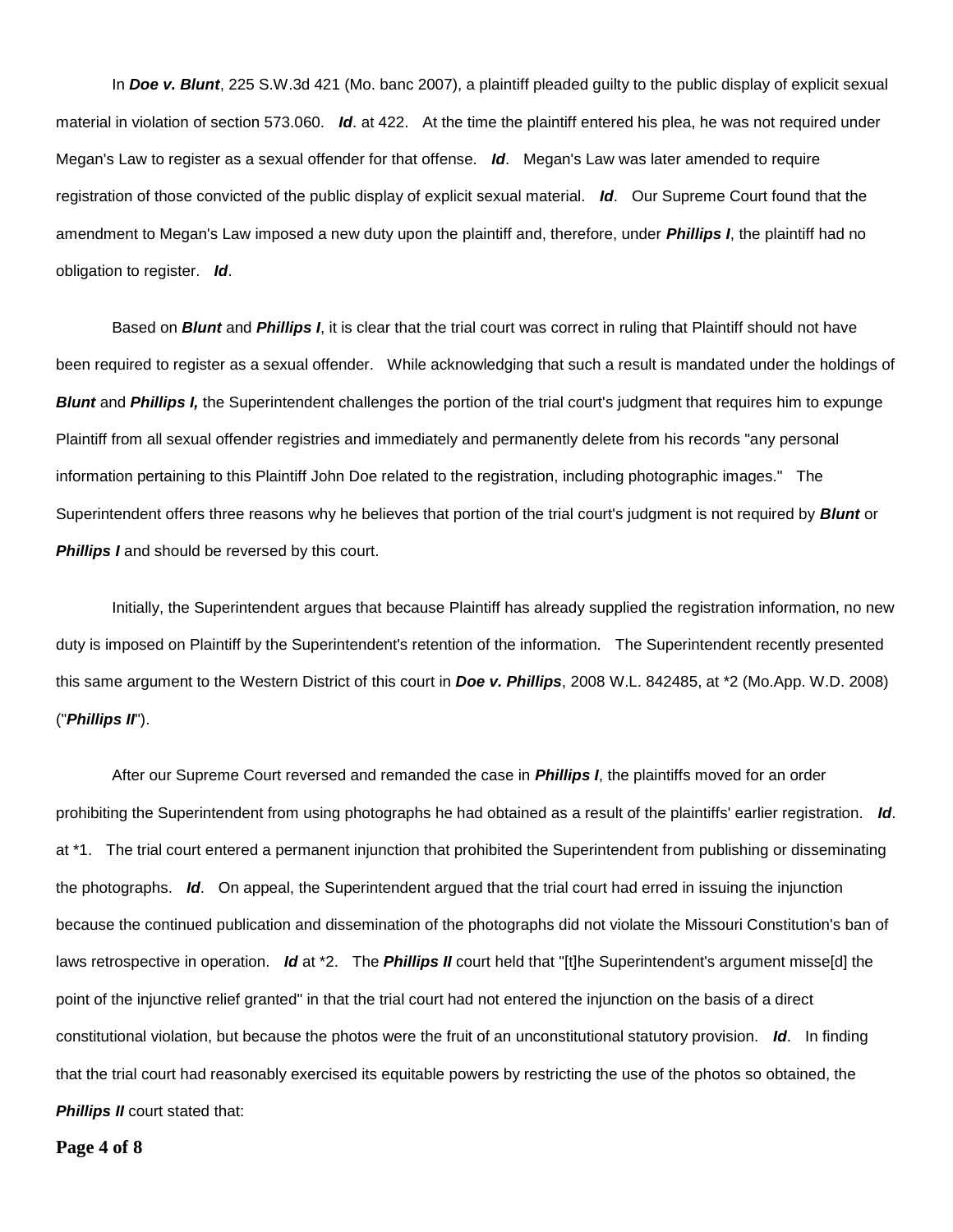In *Doe v. Blunt*, 225 S.W.3d 421 (Mo. banc 2007), a plaintiff pleaded guilty to the public display of explicit sexual material in violation of section 573.060. *Id*. at 422. At the time the plaintiff entered his plea, he was not required under Megan's Law to register as a sexual offender for that offense. *Id*. Megan's Law was later amended to require registration of those convicted of the public display of explicit sexual material. *Id*. Our Supreme Court found that the amendment to Megan's Law imposed a new duty upon the plaintiff and, therefore, under *Phillips I*, the plaintiff had no obligation to register. *Id*.

Based on *Blunt* and *Phillips I*, it is clear that the trial court was correct in ruling that Plaintiff should not have been required to register as a sexual offender. While acknowledging that such a result is mandated under the holdings of *Blunt* and *Phillips I*, the Superintendent challenges the portion of the trial court's judgment that requires him to expunge Plaintiff from all sexual offender registries and immediately and permanently delete from his records "any personal information pertaining to this Plaintiff John Doe related to the registration, including photographic images." The Superintendent offers three reasons why he believes that portion of the trial court's judgment is not required by *Blunt* or **Phillips I** and should be reversed by this court.

Initially, the Superintendent argues that because Plaintiff has already supplied the registration information, no new duty is imposed on Plaintiff by the Superintendent's retention of the information. The Superintendent recently presented this same argument to the Western District of this court in *Doe v. Phillips*, 2008 W.L. 842485, at \*2 (Mo.App. W.D. 2008) ("*Phillips II*").

After our Supreme Court reversed and remanded the case in *Phillips I*, the plaintiffs moved for an order prohibiting the Superintendent from using photographs he had obtained as a result of the plaintiffs' earlier registration. *Id*. at \*1. The trial court entered a permanent injunction that prohibited the Superintendent from publishing or disseminating the photographs. *Id*. On appeal, the Superintendent argued that the trial court had erred in issuing the injunction because the continued publication and dissemination of the photographs did not violate the Missouri Constitution's ban of laws retrospective in operation. *Id* at \*2. The *Phillips II* court held that "[t]he Superintendent's argument misse[d] the point of the injunctive relief granted" in that the trial court had not entered the injunction on the basis of a direct constitutional violation, but because the photos were the fruit of an unconstitutional statutory provision. *Id*. In finding that the trial court had reasonably exercised its equitable powers by restricting the use of the photos so obtained, the **Phillips II** court stated that:

**Page 4 of 8**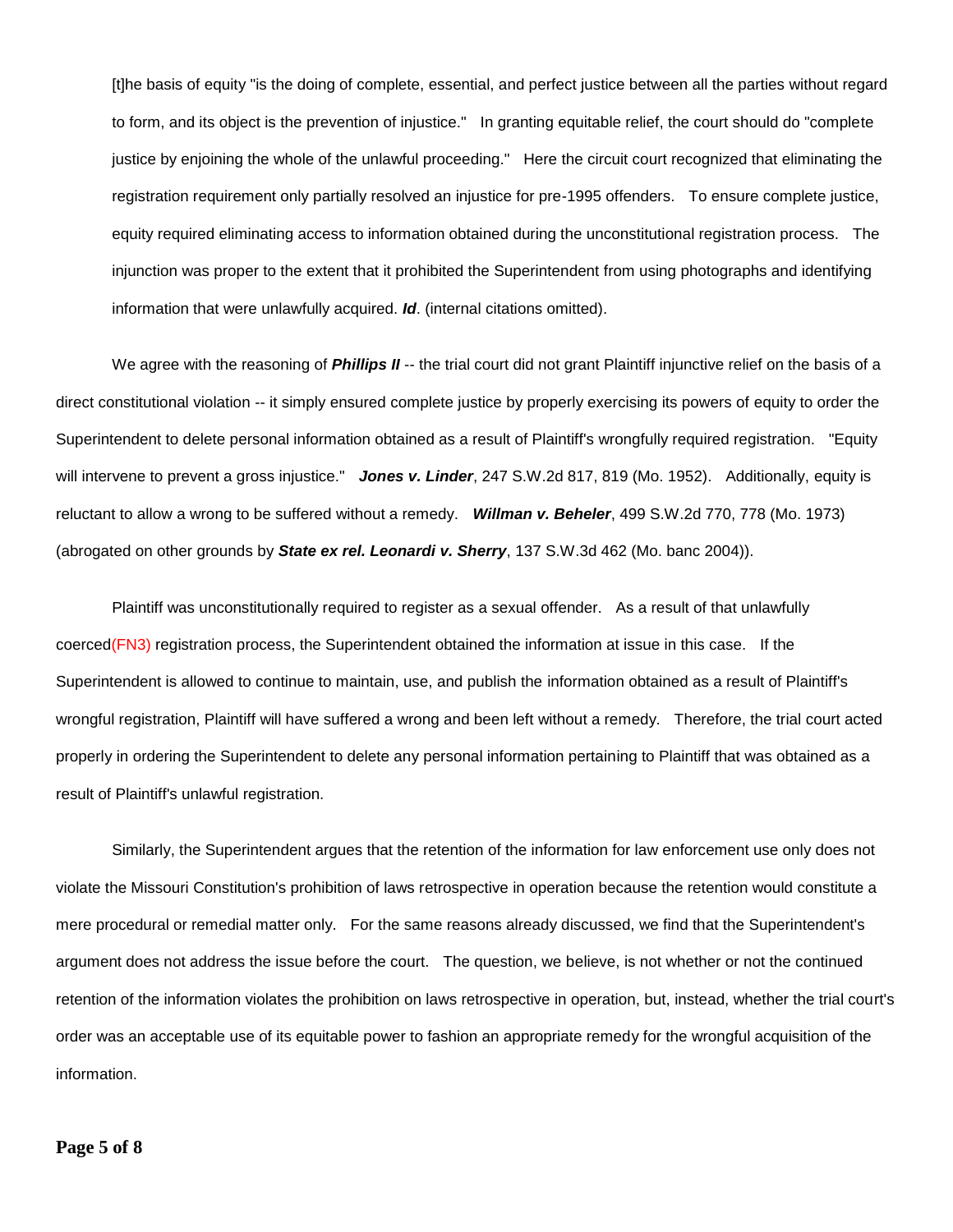[t]he basis of equity "is the doing of complete, essential, and perfect justice between all the parties without regard to form, and its object is the prevention of injustice." In granting equitable relief, the court should do "complete justice by enjoining the whole of the unlawful proceeding." Here the circuit court recognized that eliminating the registration requirement only partially resolved an injustice for pre-1995 offenders. To ensure complete justice, equity required eliminating access to information obtained during the unconstitutional registration process. The injunction was proper to the extent that it prohibited the Superintendent from using photographs and identifying information that were unlawfully acquired. *Id*. (internal citations omitted).

We agree with the reasoning of **Phillips II** -- the trial court did not grant Plaintiff injunctive relief on the basis of a direct constitutional violation -- it simply ensured complete justice by properly exercising its powers of equity to order the Superintendent to delete personal information obtained as a result of Plaintiff's wrongfully required registration. "Equity will intervene to prevent a gross injustice." *Jones v. Linder*, 247 S.W.2d 817, 819 (Mo. 1952). Additionally, equity is reluctant to allow a wrong to be suffered without a remedy. *Willman v. Beheler*, 499 S.W.2d 770, 778 (Mo. 1973) (abrogated on other grounds by *State ex rel. Leonardi v. Sherry*, 137 S.W.3d 462 (Mo. banc 2004)).

Plaintiff was unconstitutionally required to register as a sexual offender. As a result of that unlawfully coerced(FN3) registration process, the Superintendent obtained the information at issue in this case. If the Superintendent is allowed to continue to maintain, use, and publish the information obtained as a result of Plaintiff's wrongful registration, Plaintiff will have suffered a wrong and been left without a remedy. Therefore, the trial court acted properly in ordering the Superintendent to delete any personal information pertaining to Plaintiff that was obtained as a result of Plaintiff's unlawful registration.

Similarly, the Superintendent argues that the retention of the information for law enforcement use only does not violate the Missouri Constitution's prohibition of laws retrospective in operation because the retention would constitute a mere procedural or remedial matter only. For the same reasons already discussed, we find that the Superintendent's argument does not address the issue before the court. The question, we believe, is not whether or not the continued retention of the information violates the prohibition on laws retrospective in operation, but, instead, whether the trial court's order was an acceptable use of its equitable power to fashion an appropriate remedy for the wrongful acquisition of the information.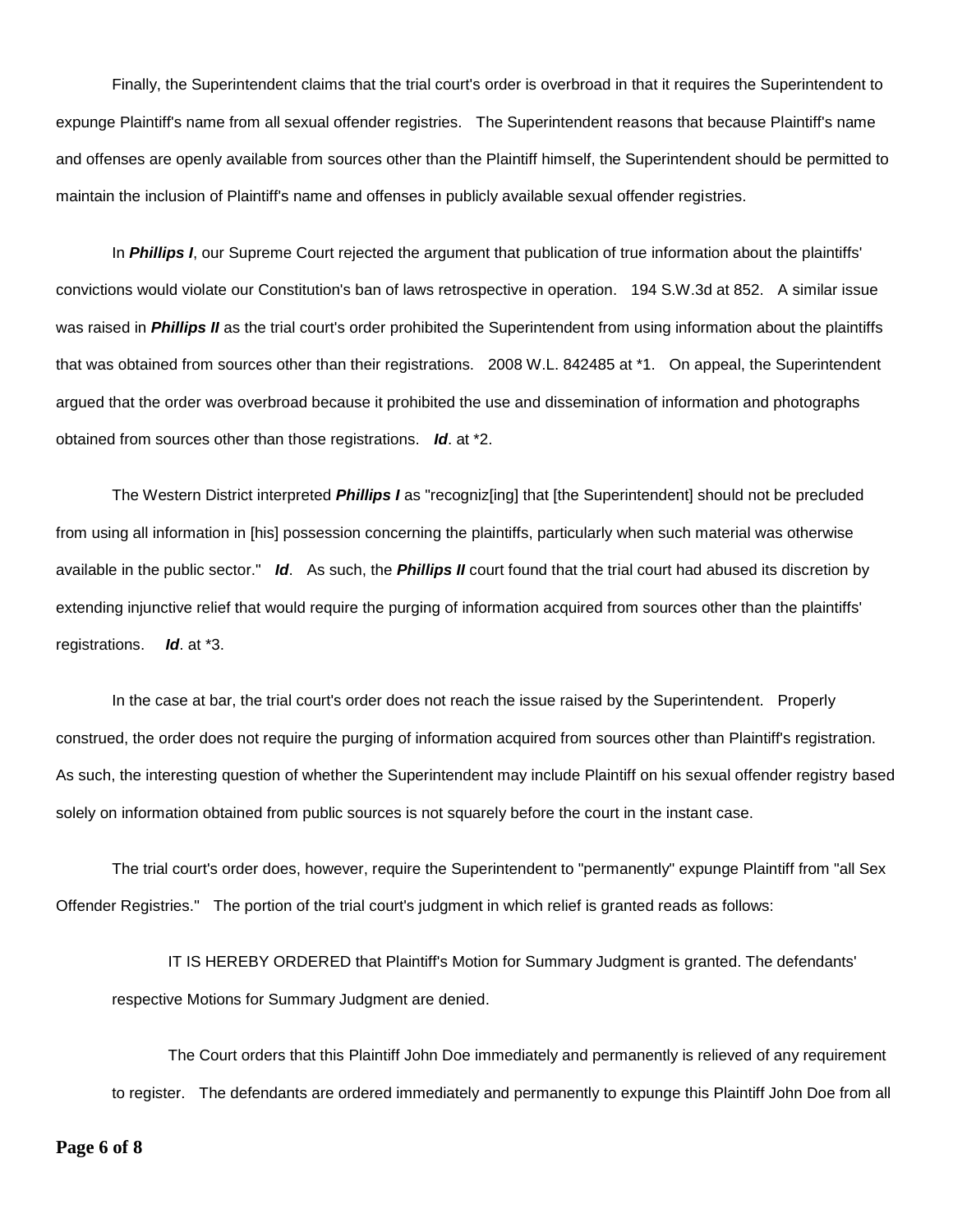Finally, the Superintendent claims that the trial court's order is overbroad in that it requires the Superintendent to expunge Plaintiff's name from all sexual offender registries. The Superintendent reasons that because Plaintiff's name and offenses are openly available from sources other than the Plaintiff himself, the Superintendent should be permitted to maintain the inclusion of Plaintiff's name and offenses in publicly available sexual offender registries.

In *Phillips I*, our Supreme Court rejected the argument that publication of true information about the plaintiffs' convictions would violate our Constitution's ban of laws retrospective in operation. 194 S.W.3d at 852. A similar issue was raised in *Phillips II* as the trial court's order prohibited the Superintendent from using information about the plaintiffs that was obtained from sources other than their registrations. 2008 W.L. 842485 at \*1. On appeal, the Superintendent argued that the order was overbroad because it prohibited the use and dissemination of information and photographs obtained from sources other than those registrations. *Id*. at \*2.

The Western District interpreted *Phillips I* as "recogniz[ing] that [the Superintendent] should not be precluded from using all information in [his] possession concerning the plaintiffs, particularly when such material was otherwise available in the public sector." *Id*. As such, the *Phillips II* court found that the trial court had abused its discretion by extending injunctive relief that would require the purging of information acquired from sources other than the plaintiffs' registrations. *Id*. at \*3.

In the case at bar, the trial court's order does not reach the issue raised by the Superintendent. Properly construed, the order does not require the purging of information acquired from sources other than Plaintiff's registration. As such, the interesting question of whether the Superintendent may include Plaintiff on his sexual offender registry based solely on information obtained from public sources is not squarely before the court in the instant case.

The trial court's order does, however, require the Superintendent to "permanently" expunge Plaintiff from "all Sex Offender Registries." The portion of the trial court's judgment in which relief is granted reads as follows:

IT IS HEREBY ORDERED that Plaintiff's Motion for Summary Judgment is granted. The defendants' respective Motions for Summary Judgment are denied.

The Court orders that this Plaintiff John Doe immediately and permanently is relieved of any requirement to register. The defendants are ordered immediately and permanently to expunge this Plaintiff John Doe from all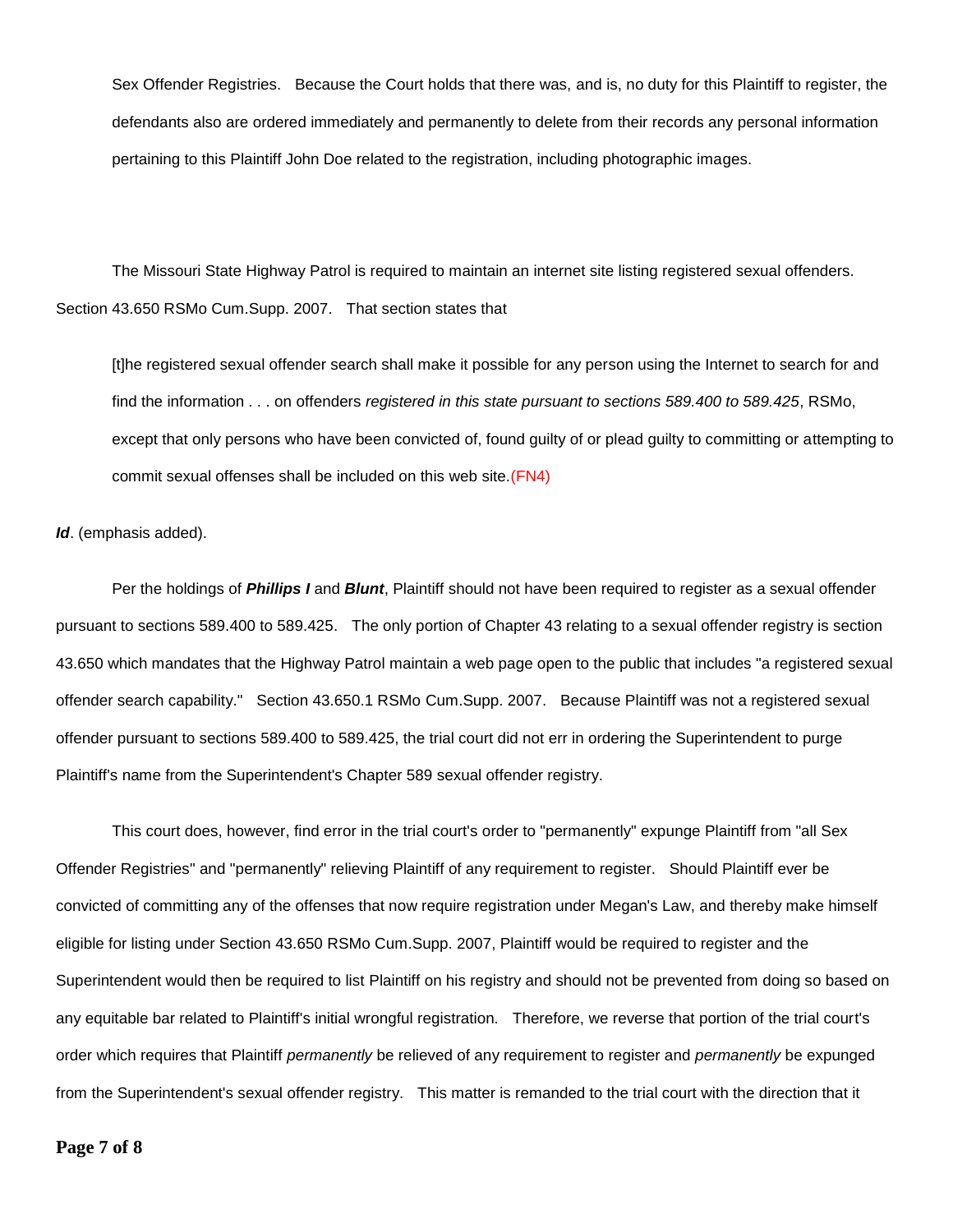Sex Offender Registries. Because the Court holds that there was, and is, no duty for this Plaintiff to register, the defendants also are ordered immediately and permanently to delete from their records any personal information pertaining to this Plaintiff John Doe related to the registration, including photographic images.

The Missouri State Highway Patrol is required to maintain an internet site listing registered sexual offenders. Section 43.650 RSMo Cum.Supp. 2007. That section states that

[t]he registered sexual offender search shall make it possible for any person using the Internet to search for and find the information . . . on offenders *registered in this state pursuant to sections 589.400 to 589.425*, RSMo, except that only persons who have been convicted of, found guilty of or plead guilty to committing or attempting to commit sexual offenses shall be included on this web site.(FN4)

*Id*. (emphasis added).

Per the holdings of *Phillips I* and *Blunt*, Plaintiff should not have been required to register as a sexual offender pursuant to sections 589.400 to 589.425. The only portion of Chapter 43 relating to a sexual offender registry is section 43.650 which mandates that the Highway Patrol maintain a web page open to the public that includes "a registered sexual offender search capability." Section 43.650.1 RSMo Cum.Supp. 2007. Because Plaintiff was not a registered sexual offender pursuant to sections 589.400 to 589.425, the trial court did not err in ordering the Superintendent to purge Plaintiff's name from the Superintendent's Chapter 589 sexual offender registry.

This court does, however, find error in the trial court's order to "permanently" expunge Plaintiff from "all Sex Offender Registries" and "permanently" relieving Plaintiff of any requirement to register. Should Plaintiff ever be convicted of committing any of the offenses that now require registration under Megan's Law, and thereby make himself eligible for listing under Section 43.650 RSMo Cum.Supp. 2007, Plaintiff would be required to register and the Superintendent would then be required to list Plaintiff on his registry and should not be prevented from doing so based on any equitable bar related to Plaintiff's initial wrongful registration. Therefore, we reverse that portion of the trial court's order which requires that Plaintiff *permanently* be relieved of any requirement to register and *permanently* be expunged from the Superintendent's sexual offender registry. This matter is remanded to the trial court with the direction that it